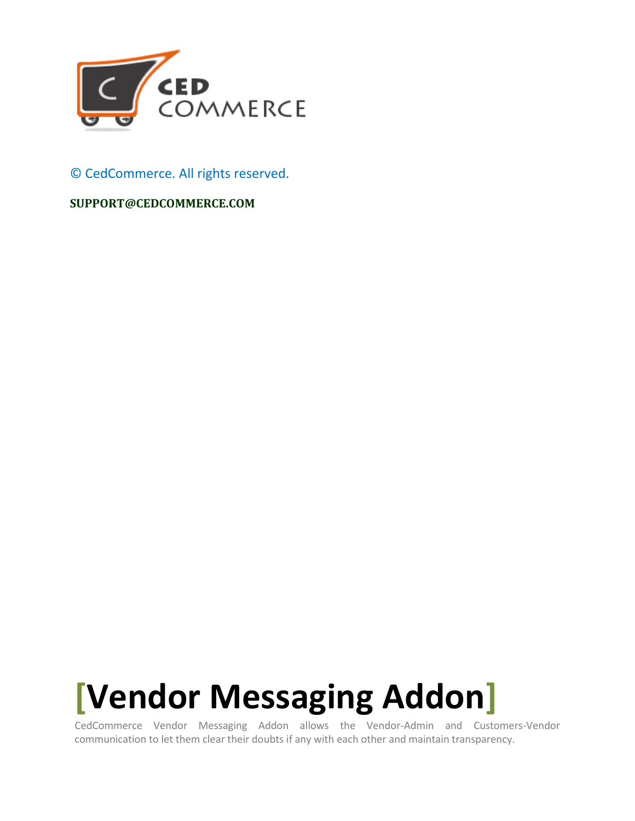

### © CedCommerce. All rights reserved.

#### **SUPPORT@CEDCOMMERCE.COM**

# **[Vendor Messaging Addon]**

CedCommerce Vendor Messaging Addon allows the Vendor-Admin and Customers-Vendor communication to let them clear their doubts if any with each other and maintain transparency.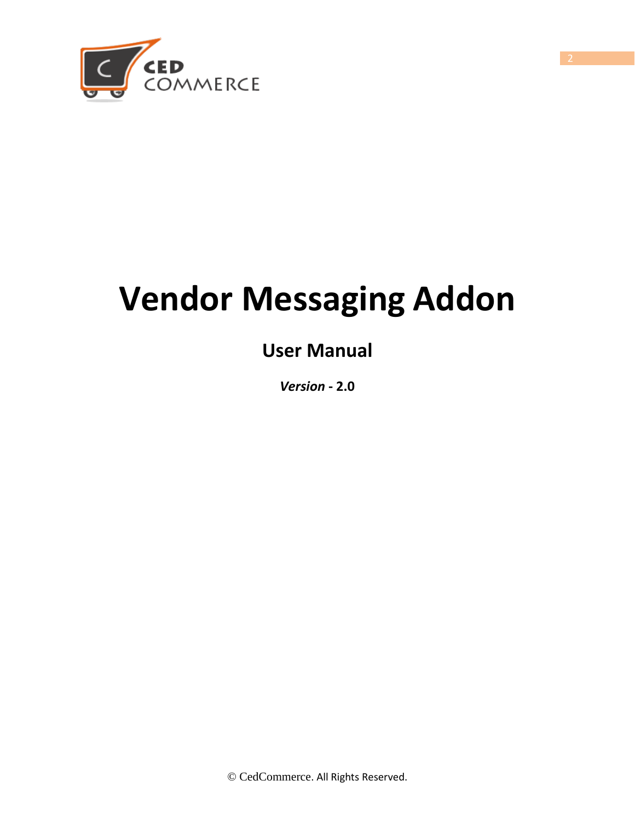

# **Vendor Messaging Addon**

# **User Manual**

*Version* **- 2.0**

© CedCommerce. All Rights Reserved.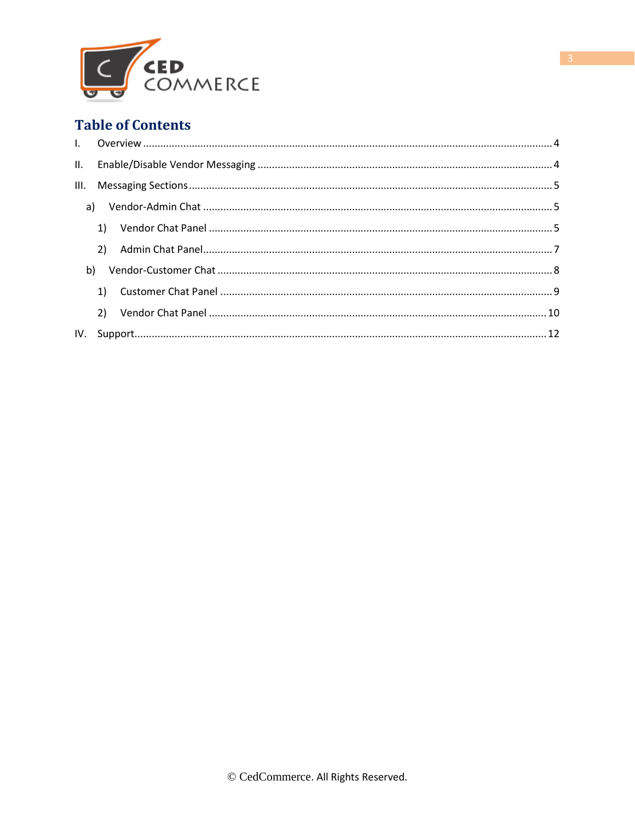

## **Table of Contents**

|    | 1) |  |
|----|----|--|
|    | 2) |  |
| b) |    |  |
|    | 1) |  |
|    | 2) |  |
|    |    |  |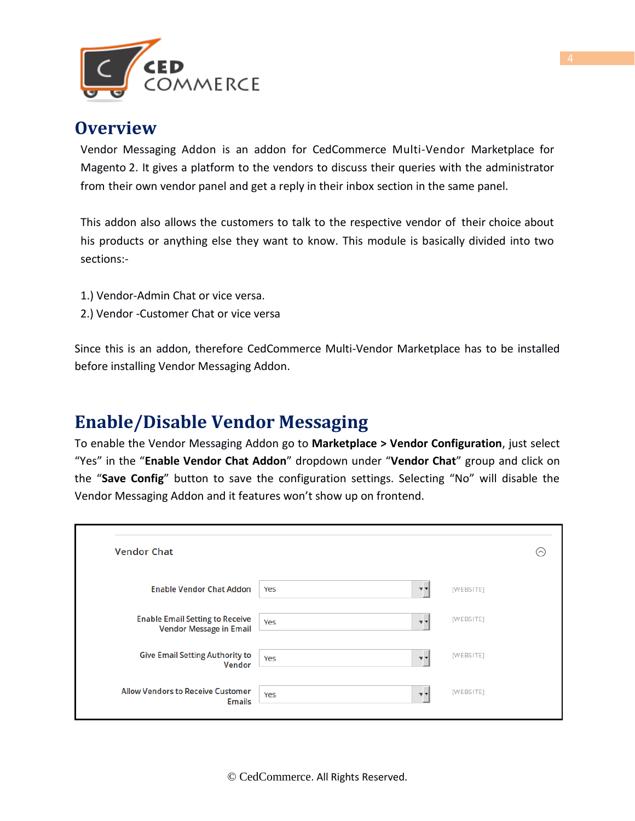

## **Overview**

Vendor Messaging Addon is an addon for CedCommerce Multi-Vendor Marketplace for Magento 2. It gives a platform to the vendors to discuss their queries with the administrator from their own vendor panel and get a reply in their inbox section in the same panel.

This addon also allows the customers to talk to the respective vendor of their choice about his products or anything else they want to know. This module is basically divided into two sections:-

- 1.) Vendor-Admin Chat or vice versa.
- 2.) Vendor -Customer Chat or vice versa

Since this is an addon, therefore CedCommerce Multi-Vendor Marketplace has to be installed before installing Vendor Messaging Addon.

## **Enable/Disable Vendor Messaging**

To enable the Vendor Messaging Addon go to **Marketplace > Vendor Configuration**, just select "Yes" in the "**Enable Vendor Chat Addon**" dropdown under "**Vendor Chat**" group and click on the "**Save Config**" button to save the configuration settings. Selecting "No" will disable the Vendor Messaging Addon and it features won't show up on frontend.

| <b>Vendor Chat</b>                                                       |                                | "         |
|--------------------------------------------------------------------------|--------------------------------|-----------|
| <b>Enable Vendor Chat Addon</b>                                          | Yes                            | [WEBSITE] |
| <b>Enable Email Setting to Receive</b><br><b>Vendor Message in Email</b> | Yes<br>$\overline{\mathbf{v}}$ | [WEBSITE] |
| <b>Give Email Setting Authority to</b><br>Vendor                         | Yes<br>w v                     | [WEBSITE] |
| <b>Allow Vendors to Receive Customer</b><br><b>Emails</b>                | Yes<br><b>v</b> 7              | [WEBSITE] |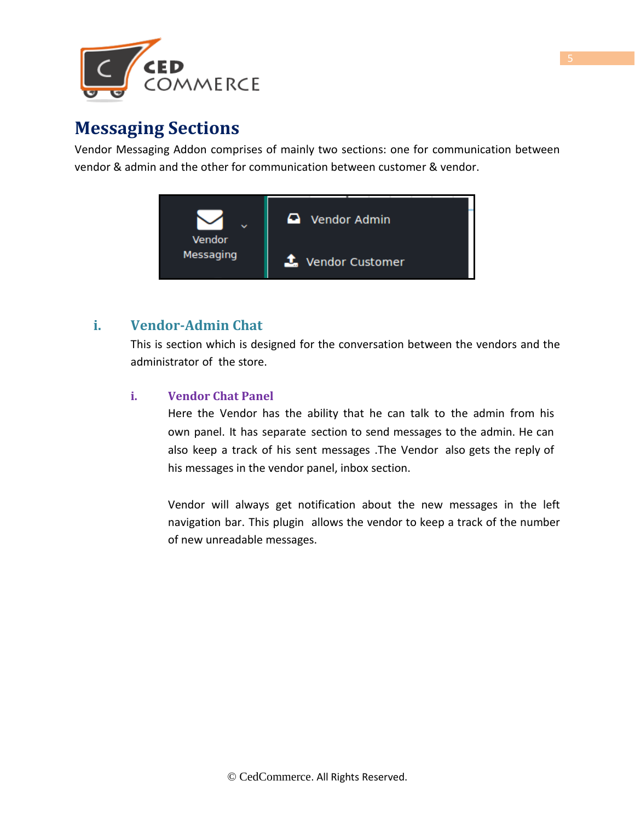

## **Messaging Sections**

Vendor Messaging Addon comprises of mainly two sections: one for communication between vendor & admin and the other for communication between customer & vendor.



### **i. Vendor-Admin Chat**

This is section which is designed for the conversation between the vendors and the administrator of the store.

#### **i. Vendor Chat Panel**

Here the Vendor has the ability that he can talk to the admin from his own panel. It has separate section to send messages to the admin. He can also keep a track of his sent messages .The Vendor also gets the reply of his messages in the vendor panel, inbox section.

Vendor will always get notification about the new messages in the left navigation bar. This plugin allows the vendor to keep a track of the number of new unreadable messages.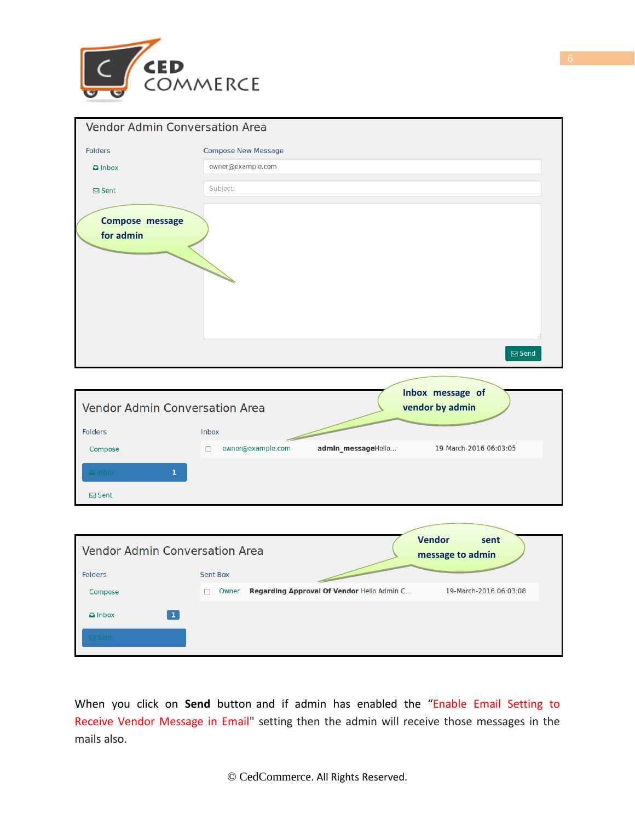

| <b>Vendor Admin Conversation Area</b> |                            |
|---------------------------------------|----------------------------|
| <b>Folders</b>                        | <b>Compose New Message</b> |
| $\Box$ Inbox                          | owner@example.com          |
| <b>⊠</b> Sent                         | Subject:                   |
| Compose message<br>for admin          | $\boxdot$ Send             |
|                                       |                            |

| <b>Vendor Admin Conversation Area</b> |                   | Inbox message of<br>vendor by admin |                        |
|---------------------------------------|-------------------|-------------------------------------|------------------------|
| <b>Folders</b>                        | <b>Inbox</b>      |                                     |                        |
| Compose                               | owner@example.com | admin_messageHello                  | 19-March-2016 06:03:05 |
| $\Box$ Inbox                          |                   |                                     |                        |
| $\boxdot$ Sent                        |                   |                                     |                        |

| <b>Vendor Admin Conversation Area</b><br><b>Folders</b> | <b>Sent Box</b>                                     | <b>Vendor</b><br>sent<br>message to admin |
|---------------------------------------------------------|-----------------------------------------------------|-------------------------------------------|
| Compose                                                 | Regarding Approval Of Vendor Hello Admin C<br>Owner | 19-March-2016 06:03:08                    |
| 1<br>$\Box$ Inbox<br><b>⊠</b> Sent                      |                                                     |                                           |

When you click on **Send** button and if admin has enabled the "Enable Email Setting to Receive Vendor Message in Email" setting then the admin will receive those messages in the mails also.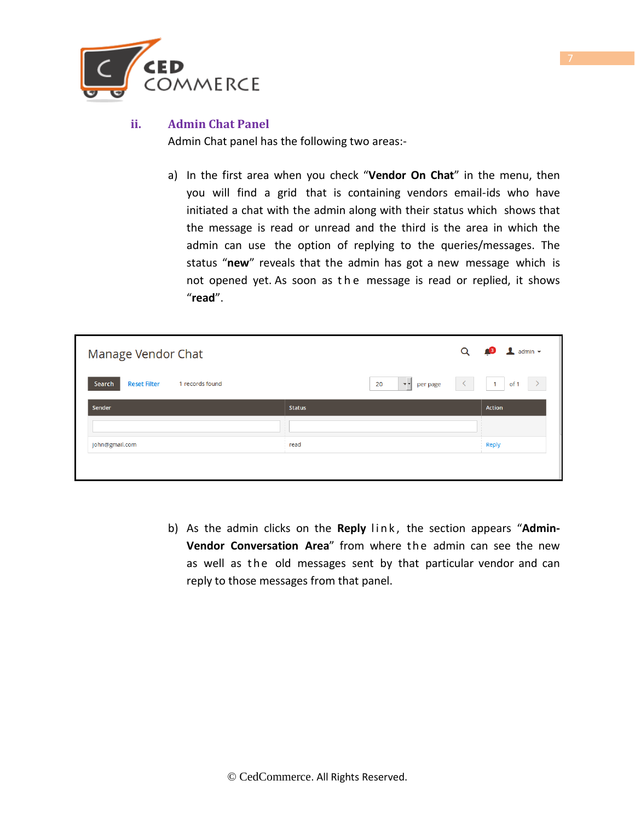

#### **ii. Admin Chat Panel**

Admin Chat panel has the following two areas:-

a) In the first area when you check "**Vendor On Chat**" in the menu, then you will find a grid that is containing vendors email-ids who have initiated a chat with the admin along with their status which shows that the message is read or unread and the third is the area in which the admin can use the option of replying to the queries/messages. The status "**new**" reveals that the admin has got a new message which is not opened yet. As soon as the message is read or replied, it shows "**read**".

| Manage Vendor Chat                               |                         | Q<br>$\perp$ admin $\sim$            |
|--------------------------------------------------|-------------------------|--------------------------------------|
| <b>Reset Filter</b><br>Search<br>1 records found | $v -$<br>20<br>per page | $\sim$<br>of 1<br>$-1$               |
| Sender                                           | <b>Status</b>           | <b>Action</b>                        |
|                                                  |                         | $\mathbf{r}$<br><b>International</b> |
| john@gmail.com                                   | read                    | <b>COLLEGE</b><br>Reply              |
|                                                  |                         |                                      |

b) As the admin clicks on the Reply link, the section appears "Admin-**Vendor Conversation Area**" from where the admin can see the new as well as the old messages sent by that particular vendor and can reply to those messages from that panel.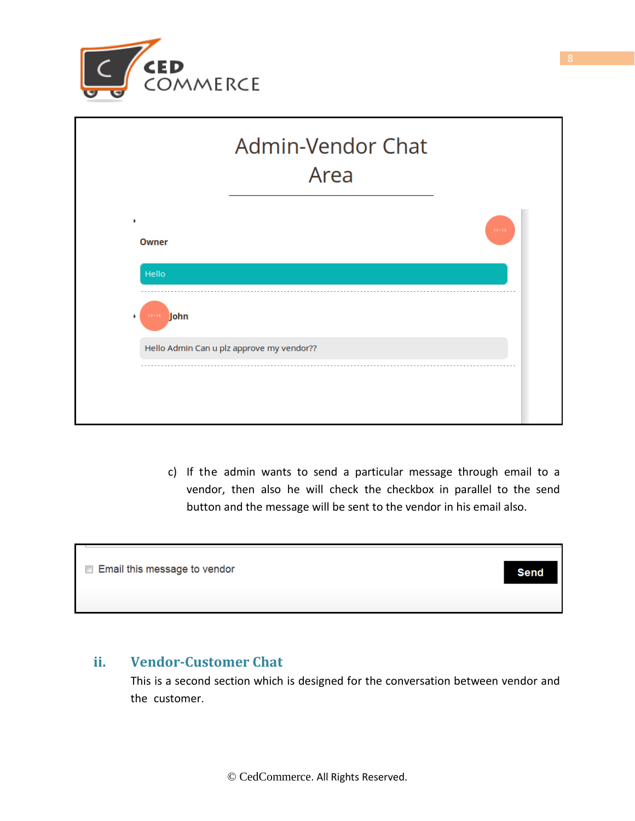

|   | <b>Admin-Vendor Chat</b><br>Area          |  |
|---|-------------------------------------------|--|
| b | $50 - 51$<br><b>Owner</b><br>Hello        |  |
| ٠ | John<br>$50 - 51$                         |  |
|   | Hello Admin Can u plz approve my vendor?? |  |

c) If the admin wants to send a particular message through email to a vendor, then also he will check the checkbox in parallel to the send button and the message will be sent to the vendor in his email also.

| Email this message to vendor | <b>Senc</b> |
|------------------------------|-------------|
|                              |             |
|                              |             |
|                              |             |

### **ii. Vendor-Customer Chat**

This is a second section which is designed for the conversation between vendor and the customer.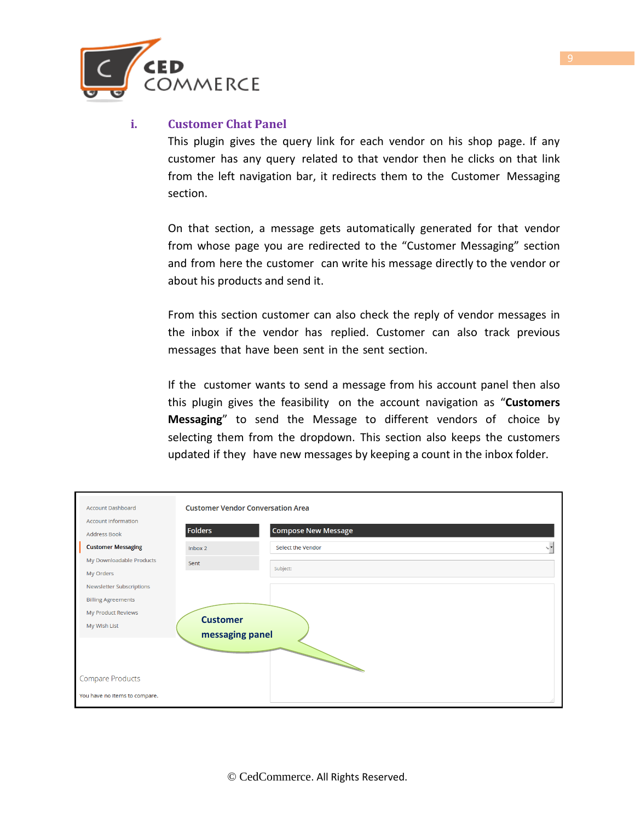

#### **i. Customer Chat Panel**

This plugin gives the query link for each vendor on his shop page. If any customer has any query related to that vendor then he clicks on that link from the left navigation bar, it redirects them to the Customer Messaging section.

On that section, a message gets automatically generated for that vendor from whose page you are redirected to the "Customer Messaging" section and from here the customer can write his message directly to the vendor or about his products and send it.

From this section customer can also check the reply of vendor messages in the inbox if the vendor has replied. Customer can also track previous messages that have been sent in the sent section.

If the customer wants to send a message from his account panel then also this plugin gives the feasibility on the account navigation as "**Customers Messaging**" to send the Message to different vendors of choice by selecting them from the dropdown. This section also keeps the customers updated if they have new messages by keeping a count in the inbox folder.

| <b>Account Dashboard</b>      | <b>Customer Vendor Conversation Area</b> |                            |  |
|-------------------------------|------------------------------------------|----------------------------|--|
| <b>Account Information</b>    |                                          |                            |  |
| <b>Address Book</b>           | Folders                                  | <b>Compose New Message</b> |  |
| <b>Customer Messaging</b>     | Inbox 2                                  | Select the Vendor          |  |
| My Downloadable Products      | Sent                                     |                            |  |
| My Orders                     |                                          | Subject:                   |  |
| Newsletter Subscriptions      |                                          |                            |  |
| <b>Billing Agreements</b>     |                                          |                            |  |
| My Product Reviews            | <b>Customer</b>                          |                            |  |
| My Wish List                  |                                          |                            |  |
|                               | messaging panel                          |                            |  |
|                               |                                          |                            |  |
|                               |                                          |                            |  |
| <b>Compare Products</b>       |                                          |                            |  |
| You have no items to compare. |                                          |                            |  |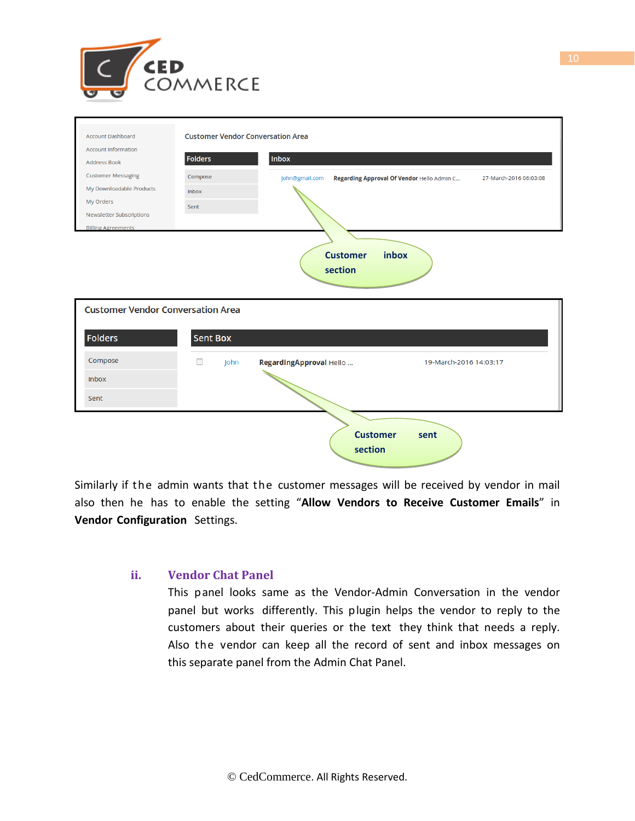

| <b>Account Dashboard</b>                 | <b>Customer Vendor Conversation Area</b> |                                                              |                        |
|------------------------------------------|------------------------------------------|--------------------------------------------------------------|------------------------|
| <b>Account Information</b>               | <b>Folders</b>                           | Inbox                                                        |                        |
| <b>Address Book</b>                      |                                          |                                                              |                        |
| <b>Customer Messaging</b>                | Compose                                  | john@gmail.com<br>Regarding Approval Of Vendor Hello Admin C | 27-March-2016 06:03:08 |
| My Downloadable Products<br>My Orders    | Inbox                                    |                                                              |                        |
| <b>Newsletter Subscriptions</b>          | Sent                                     |                                                              |                        |
| <b>Billing Agreements</b>                |                                          |                                                              |                        |
|                                          |                                          |                                                              |                        |
|                                          |                                          | inbox<br><b>Customer</b>                                     |                        |
|                                          |                                          | section                                                      |                        |
|                                          |                                          |                                                              |                        |
|                                          |                                          |                                                              |                        |
| <b>Customer Vendor Conversation Area</b> |                                          |                                                              |                        |
|                                          |                                          |                                                              |                        |
| <b>Folders</b>                           | <b>Sent Box</b>                          |                                                              |                        |
| Compose                                  | $\Box$<br>John                           | RegardingApproval Hello                                      | 19-March-2016 14:03:17 |
| <b>Inbox</b>                             |                                          |                                                              |                        |
| Sent                                     |                                          |                                                              |                        |
|                                          |                                          |                                                              |                        |
|                                          |                                          | <b>Customer</b>                                              | sent                   |
|                                          |                                          | section                                                      |                        |
|                                          |                                          |                                                              |                        |

Similarly if the admin wants that the customer messages will be received by vendor in mail also then he has to enable the setting "**Allow Vendors to Receive Customer Emails**" in **Vendor Configuration** Settings.

#### **ii. Vendor Chat Panel**

This panel looks same as the Vendor-Admin Conversation in the vendor panel but works differently. This plugin helps the vendor to reply to the customers about their queries or the text they think that needs a reply. Also the vendor can keep all the record of sent and inbox messages on this separate panel from the Admin Chat Panel.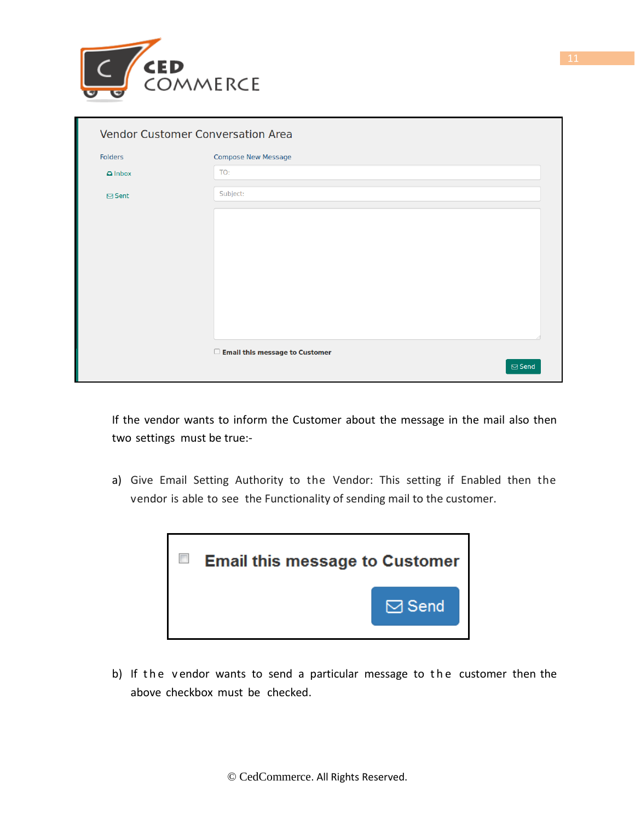

| $\Box$ Email this message to Customer |
|---------------------------------------|

If the vendor wants to inform the Customer about the message in the mail also then two settings must be true:-

a) Give Email Setting Authority to the Vendor: This setting if Enabled then the vendor is able to see the Functionality of sending mail to the customer.



b) If the vendor wants to send a particular message to the customer then the above checkbox must be checked.